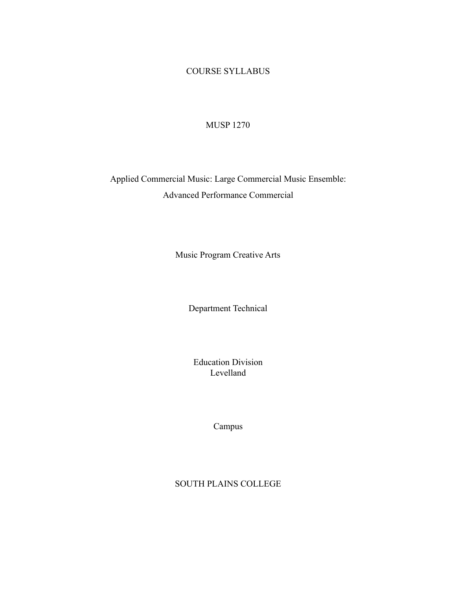## COURSE SYLLABUS

### MUSP 1270

# Applied Commercial Music: Large Commercial Music Ensemble: Advanced Performance Commercial

Music Program Creative Arts

Department Technical

Education Division Levelland

Campus

SOUTH PLAINS COLLEGE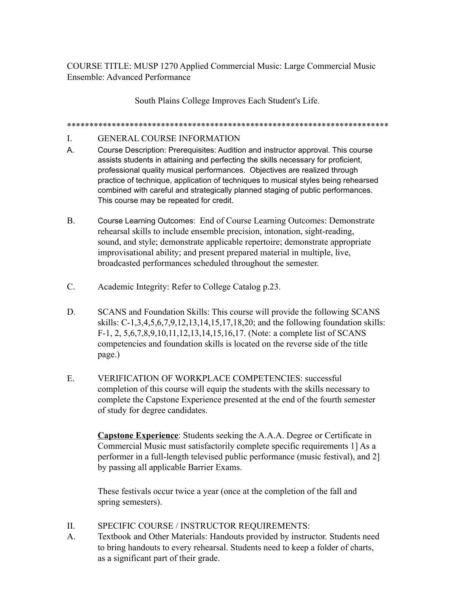COURSE TITLE: MUSP 1270 Applied Commercial Music: Large Commercial Music Ensemble: Advanced Performance

South Plains College Improves Each Student's Life.

\*\*\*\*\*\*\*\*\*\*\*\*\*\*\*\*\*\*\*\*\*\*\*\*\*\*\*\*\*\*\*\*\*\*\*\*\*\*\*\*\*\*\*\*\*\*\*\*\*\*\*\*\*\*\*\*\*\*\*\*\*\*\*\*\*\*\*\*\*\*\*\*

#### I. GENERAL COURSE INFORMATION

- A. Course Description: Prerequisites: Audition and instructor approval. This course assists students in attaining and perfecting the skills necessary for proficient, professional quality musical performances. Objectives are realized through practice of technique, application of techniques to musical styles being rehearsed combined with careful and strategically planned staging of public performances. This course may be repeated for credit.
- B. Course Learning Outcomes: End of Course Learning Outcomes: Demonstrate rehearsal skills to include ensemble precision, intonation, sight-reading, sound, and style; demonstrate applicable repertoire; demonstrate appropriate improvisational ability; and present prepared material in multiple, live, broadcasted performances scheduled throughout the semester.
- C. Academic Integrity: Refer to College Catalog p.23.
- D. SCANS and Foundation Skills: This course will provide the following SCANS skills: C-1,3,4,5,6,7,9,12,13,14,15,17,18,20; and the following foundation skills: F-1, 2, 5,6,7,8,9,10,11,12,13,14,15,16,17. (Note: a complete list of SCANS competencies and foundation skills is located on the reverse side of the title page.)
- E. VERIFICATION OF WORKPLACE COMPETENCIES: successful completion of this course will equip the students with the skills necessary to complete the Capstone Experience presented at the end of the fourth semester of study for degree candidates.

**Capstone Experience**: Students seeking the A.A.A. Degree or Certificate in Commercial Music must satisfactorily complete specific requirements 1] As a performer in a full-length televised public performance (music festival), and 2] by passing all applicable Barrier Exams.

These festivals occur twice a year (once at the completion of the fall and spring semesters).

- II. SPECIFIC COURSE / INSTRUCTOR REQUIREMENTS:
- A. Textbook and Other Materials: Handouts provided by instructor. Students need to bring handouts to every rehearsal. Students need to keep a folder of charts, as a significant part of their grade.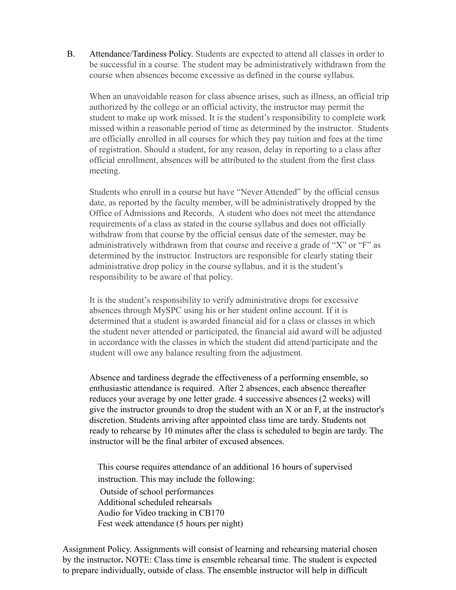B. Attendance/Tardiness Policy. Students are expected to attend all classes in order to be successful in a course. The student may be administratively withdrawn from the course when absences become excessive as defined in the course syllabus.

When an unavoidable reason for class absence arises, such as illness, an official trip authorized by the college or an official activity, the instructor may permit the student to make up work missed. It is the student's responsibility to complete work missed within a reasonable period of time as determined by the instructor. Students are officially enrolled in all courses for which they pay tuition and fees at the time of registration. Should a student, for any reason, delay in reporting to a class after official enrollment, absences will be attributed to the student from the first class meeting.

Students who enroll in a course but have "Never Attended" by the official census date, as reported by the faculty member, will be administratively dropped by the Office of Admissions and Records. A student who does not meet the attendance requirements of a class as stated in the course syllabus and does not officially withdraw from that course by the official census date of the semester, may be administratively withdrawn from that course and receive a grade of "X" or "F" as determined by the instructor. Instructors are responsible for clearly stating their administrative drop policy in the course syllabus, and it is the student's responsibility to be aware of that policy.

It is the student's responsibility to verify administrative drops for excessive absences through MySPC using his or her student online account. If it is determined that a student is awarded financial aid for a class or classes in which the student never attended or participated, the financial aid award will be adjusted in accordance with the classes in which the student did attend/participate and the student will owe any balance resulting from the adjustment.

Absence and tardiness degrade the effectiveness of a performing ensemble, so enthusiastic attendance is required. After 2 absences, each absence thereafter reduces your average by one letter grade. 4 successive absences (2 weeks) will give the instructor grounds to drop the student with an X or an F, at the instructor's discretion. Students arriving after appointed class time are tardy. Students not ready to rehearse by 10 minutes after the class is scheduled to begin are tardy. The instructor will be the final arbiter of excused absences.

This course requires attendance of an additional 16 hours of supervised instruction. This may include the following: Outside of school performances Additional scheduled rehearsals Audio for Video tracking in CB170 Fest week attendance (5 hours per night)

Assignment Policy. Assignments will consist of learning and rehearsing material chosen by the instructor**.** NOTE: Class time is ensemble rehearsal time. The student is expected to prepare individually, outside of class. The ensemble instructor will help in difficult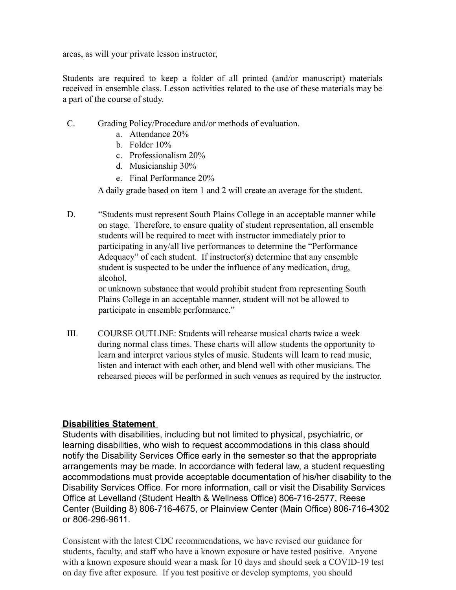areas, as will your private lesson instructor,

Students are required to keep a folder of all printed (and/or manuscript) materials received in ensemble class. Lesson activities related to the use of these materials may be a part of the course of study.

- C. Grading Policy/Procedure and/or methods of evaluation.
	- a. Attendance 20%
	- b. Folder 10%
	- c. Professionalism 20%
	- d. Musicianship 30%
	- e. Final Performance 20%

A daily grade based on item 1 and 2 will create an average for the student.

D. "Students must represent South Plains College in an acceptable manner while on stage. Therefore, to ensure quality of student representation, all ensemble students will be required to meet with instructor immediately prior to participating in any/all live performances to determine the "Performance Adequacy" of each student. If instructor(s) determine that any ensemble student is suspected to be under the influence of any medication, drug, alcohol,

or unknown substance that would prohibit student from representing South Plains College in an acceptable manner, student will not be allowed to participate in ensemble performance."

III. COURSE OUTLINE: Students will rehearse musical charts twice a week during normal class times. These charts will allow students the opportunity to learn and interpret various styles of music. Students will learn to read music, listen and interact with each other, and blend well with other musicians. The rehearsed pieces will be performed in such venues as required by the instructor.

## **Disabilities Statement**

Students with disabilities, including but not limited to physical, psychiatric, or learning disabilities, who wish to request accommodations in this class should notify the Disability Services Office early in the semester so that the appropriate arrangements may be made. In accordance with federal law, a student requesting accommodations must provide acceptable documentation of his/her disability to the Disability Services Office. For more information, call or visit the Disability Services Office at Levelland (Student Health & Wellness Office) 806-716-2577, Reese Center (Building 8) 806-716-4675, or Plainview Center (Main Office) 806-716-4302 or 806-296-9611.

Consistent with the latest CDC recommendations, we have revised our guidance for students, faculty, and staff who have a known exposure or have tested positive. Anyone with a known exposure should wear a mask for 10 days and should seek a COVID-19 test on day five after exposure. If you test positive or develop symptoms, you should